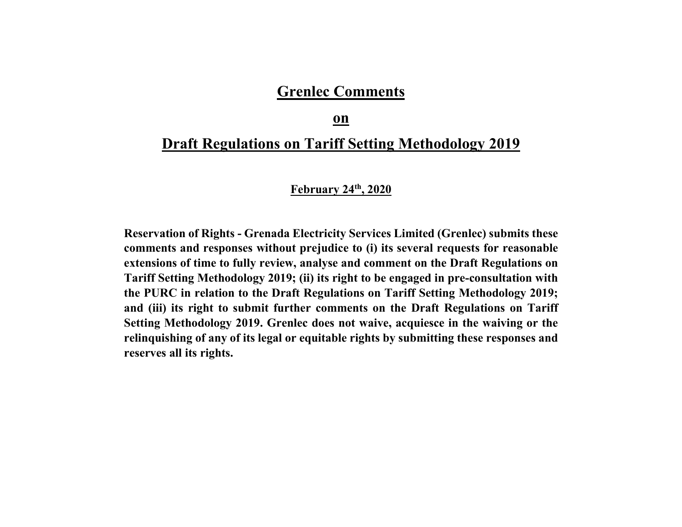# **Grenlec Comments**

### **on**

# **Draft Regulations on Tariff Setting Methodology 2019**

## **February 24th, 2020**

**Reservation of Rights - Grenada Electricity Services Limited (Grenlec) submits these comments and responses without prejudice to (i) its several requests for reasonable extensions of time to fully review, analyse and comment on the Draft Regulations on Tariff Setting Methodology 2019; (ii) its right to be engaged in pre-consultation with the PURC in relation to the Draft Regulations on Tariff Setting Methodology 2019; and (iii) its right to submit further comments on the Draft Regulations on Tariff Setting Methodology 2019. Grenlec does not waive, acquiesce in the waiving or the relinquishing of any of its legal or equitable rights by submitting these responses and reserves all its rights.**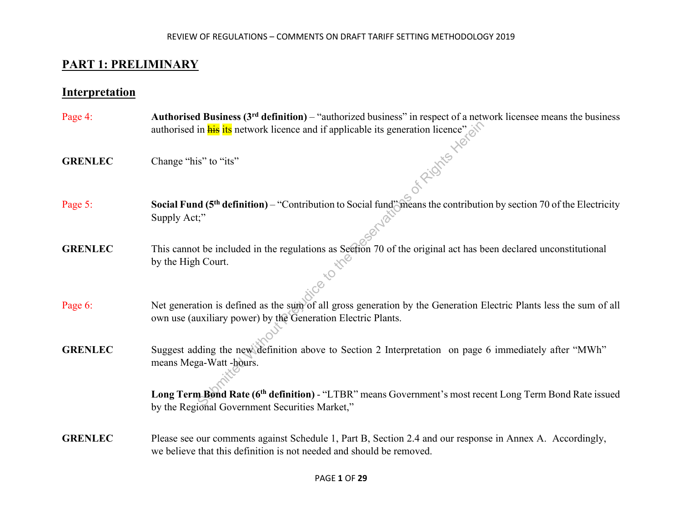# **PART 1: PRELIMINARY**

## **Interpretation**

- Page 4: **Authorised Business (3rd definition)** "authorized business" in respect of a network licensee means the business authorised in  $\frac{1}{\text{his}}$  its network licence and if applicable its generation licence"<br>Change "his" to "its"
- **GRENLEC** Change "his" to "its"
- Page 5: **Social Fund (5th definition)** "Contribution to Social fund" means the contribution by section 70 of the Electricity Supply Act;"
- **GRENLEC** This cannot be included in the regulations as Section 70 of the original act has been declared unconstitutional by the High Court. by the High Court.
- Page 6: Net generation is defined as the sum of all gross generation by the Generation Electric Plants less the sum of all own use (auxiliary power) by the Generation Electric Plants.
- **GRENLEC** Suggest adding the new definition above to Section 2 Interpretation on page 6 immediately after "MWh" means Mega-Watt -hours. in **his** its network licence and if applicable its generation licence"<br>
is" to "its"<br>
d (5<sup>th</sup> definition) – "Contribution to Social fund" means the contribution;"<br>
the included in the regulations as Section 70 of the ori

**Long Term Bond Rate (6th definition)** - "LTBR" means Government's most recent Long Term Bond Rate issued by the Regional Government Securities Market,"

**GRENLEC** Please see our comments against Schedule 1, Part B, Section 2.4 and our response in Annex A. Accordingly, we believe that this definition is not needed and should be removed.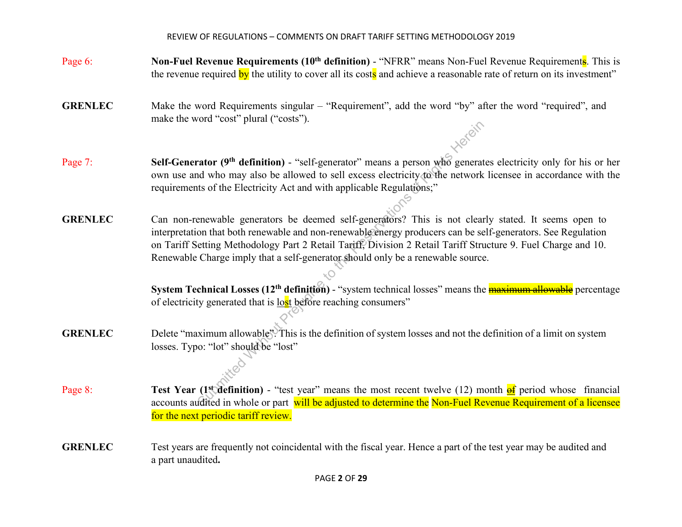- Page 6: **Non-Fuel Revenue Requirements** (10<sup>th</sup> definition) "NFRR" means Non-Fuel Revenue Requirements. This is the revenue required by the utility to cover all its costs and achieve a reasonable rate of return on its investment"
- **GRENLEC** Make the word Requirements singular "Requirement", add the word "by" after the word "required", and make the word "cost" plural ("costs").
- Page 7: **Self-Generator (9th definition)** "self-generator" means a person who generates electricity only for his or her own use and who may also be allowed to sell excess electricity to the network licensee in accordance with the requirements of the Electricity Act and with applicable Regulations;"
- **GRENLEC** Can non-renewable generators be deemed self-generators? This is not clearly stated. It seems open to interpretation that both renewable and non-renewable energy producers can be self-generators. See Regulation on Tariff Setting Methodology Part 2 Retail Tariff, Division 2 Retail Tariff Structure 9. Fuel Charge and 10. Renewable Charge imply that a self-generator should only be a renewable source. **Example 19 Accord 19 Accord 19 Accord 19 Accord 19 Accord Without Preservation** of the Electricity Act and with applicable Regulations;"<br>
Submitted With Prejudice to sell excess electricity to the network<br>
the Electricit

**System Technical Losses (12<sup>th</sup> definition)** - "system technical losses" means the **maximum allowable** percentage of electricity generated that is lost before reaching consumers"

- **GRENLEC** Delete "maximum allowable". This is the definition of system losses and not the definition of a limit on system losses. Typo: "lot" should be "lost"
- Page 8: **Test Year (1st definition)** "test year" means the most recent twelve (12) month  $\frac{d}{dt}$  period whose financial accounts audited in whole or part will be adjusted to determine the Non-Fuel Revenue Requirement of a licensee for the next periodic tariff review.
- **GRENLEC** Test years are frequently not coincidental with the fiscal year. Hence a part of the test year may be audited and a part unaudited**.**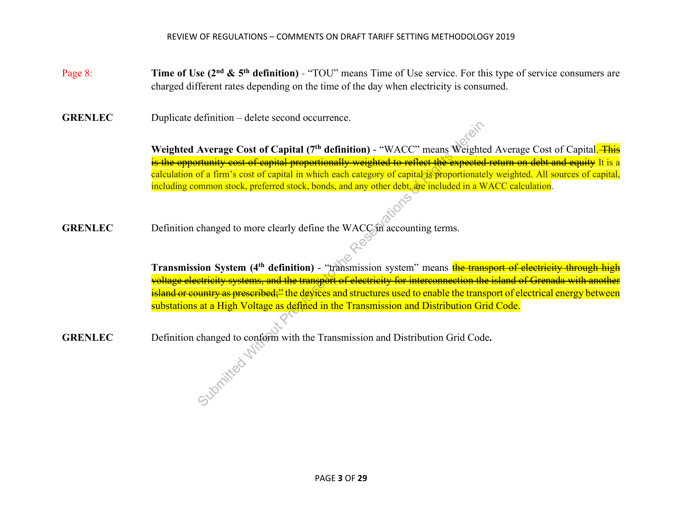- Page 8: **Time of Use (2nd & 5th definition)**  "TOU" means Time of Use service. For this type of service consumers are charged different rates depending on the time of the day when electricity is consumed.
- **GRENLEC** Duplicate definition delete second occurrence.

Weighted Average Cost of Capital (7<sup>th</sup> definition) - "WACC" means Weighted Average Cost of Capital. This is the opportunity cost of capital proportionally weighted to reflect the expected return on debt and equity It is a calculation of a firm's cost of capital in which each category of capital is proportionately weighted. All sources of capital, including common stock, preferred stock, bonds, and any other debt, are included in a WACC calculation.

GRENLEC Definition changed to more clearly define the WACC in accounting terms.

**Transmission System (4<sup>th</sup> definition)** - "transmission system" means the transport of electricity through high voltage electricity systems, and the transport of electricity for interconnection the island of Grenada with another island or country as prescribed;" the devices and structures used to enable the transport of electrical energy between substations at a High Voltage as defined in the Transmission and Distribution Grid Code. Average Cost of Capital (7<sup>th</sup> definition) - "WACC" means Weight<br> **Extrainity cost of capital proportionally weighted to reflect the expected<br>
of a firm's cost of capital in which each category of capital is proportionate** 

**GRENLEC** Definition changed to conform with the Transmission and Distribution Grid Code**.**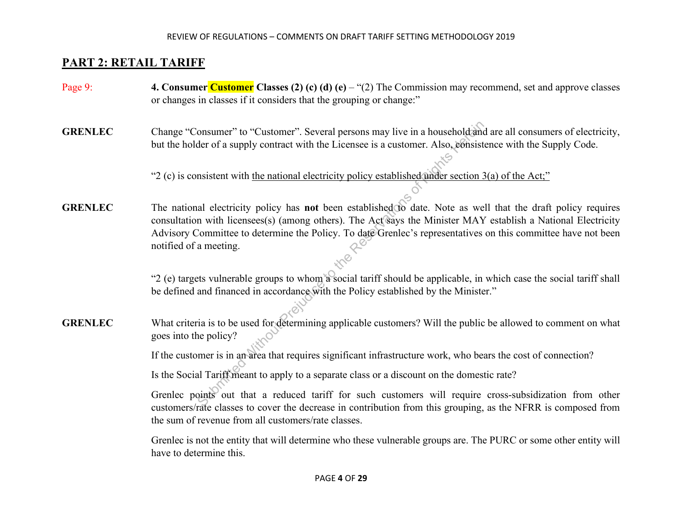# **PART 2: RETAIL TARIFF**

- Page 9: **4. Consumer Customer Classes (2) (c) (d) (e)** "(2) The Commission may recommend, set and approve classes or changes in classes if it considers that the grouping or change:"
- **GRENLEC** Change "Consumer" to "Customer". Several persons may live in a household and are all consumers of electricity, but the holder of a supply contract with the Licensee is a customer. Also, consistence with the Supply Code.

"2 (c) is consistent with the national electricity policy established under section  $3(a)$  of the Act;"

**GRENLEC** The national electricity policy has **not** been established to date. Note as well that the draft policy requires consultation with licensees(s) (among others). The Act says the Minister MAY establish a National Electricity Advisory Committee to determine the Policy. To date Grenlec's representatives on this committee have not been notified of a meeting. onsumer" to "Customer". Several persons may live in a household and<br>der of a supply contract with the Licensee is a customer. Also, consist<br>msistent with <u>the national electricity policy established under section 3</u><br>all el

 "2 (e) targets vulnerable groups to whom a social tariff should be applicable, in which case the social tariff shall be defined and financed in accordance with the Policy established by the Minister."

**GRENLEC** What criteria is to be used for determining applicable customers? Will the public be allowed to comment on what goes into the policy?

If the customer is in an area that requires significant infrastructure work, who bears the cost of connection?

Is the Social Tariff meant to apply to a separate class or a discount on the domestic rate?

Grenlec points out that a reduced tariff for such customers will require cross-subsidization from other customers/rate classes to cover the decrease in contribution from this grouping, as the NFRR is composed from the sum of revenue from all customers/rate classes.

Grenlec is not the entity that will determine who these vulnerable groups are. The PURC or some other entity will have to determine this.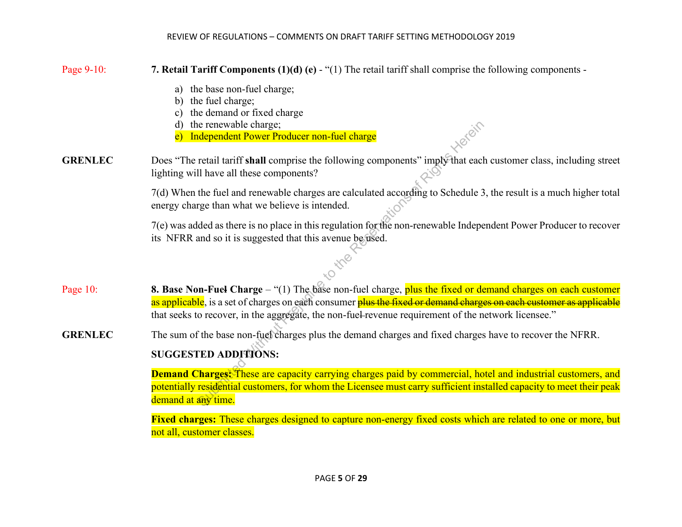| Page 9-10:     | 7. Retail Tariff Components $(1)(d)$ (e) - " $(1)$ The retail tariff shall comprise the following components -                                                                                                                                                                                                                             |  |  |  |  |
|----------------|--------------------------------------------------------------------------------------------------------------------------------------------------------------------------------------------------------------------------------------------------------------------------------------------------------------------------------------------|--|--|--|--|
|                | a) the base non-fuel charge;<br>the fuel charge;<br>b)<br>the demand or fixed charge<br>the renewable charge;<br>d)<br>Independent Power Producer non-fuel charge<br>$\mathbf{e}$                                                                                                                                                          |  |  |  |  |
| <b>GRENLEC</b> | Does "The retail tariff shall comprise the following components" imply that each customer class, including street<br>lighting will have all these components?                                                                                                                                                                              |  |  |  |  |
|                | 7(d) When the fuel and renewable charges are calculated according to Schedule 3, the result is a much higher total<br>energy charge than what we believe is intended.                                                                                                                                                                      |  |  |  |  |
|                | 7(e) was added as there is no place in this regulation for the non-renewable Independent Power Producer to recover<br>its NFRR and so it is suggested that this avenue be used.                                                                                                                                                            |  |  |  |  |
|                |                                                                                                                                                                                                                                                                                                                                            |  |  |  |  |
| Page 10:       | 8. Base Non-Fuel Charge $-$ "(1) The base non-fuel charge, plus the fixed or demand charges on each customer<br>as applicable, is a set of charges on each consumer plus the fixed or demand charges on each customer as applicable<br>that seeks to recover, in the aggregate, the non-fuel-revenue requirement of the network licensee." |  |  |  |  |
| <b>GRENLEC</b> | The sum of the base non-fuel charges plus the demand charges and fixed charges have to recover the NFRR.                                                                                                                                                                                                                                   |  |  |  |  |
|                | <b>SUGGESTED ADDITIONS:</b>                                                                                                                                                                                                                                                                                                                |  |  |  |  |
|                | Demand Charges: These are capacity carrying charges paid by commercial, hotel and industrial customers, and<br>potentially residential customers, for whom the Licensee must carry sufficient installed capacity to meet their peak<br>demand at any time.                                                                                 |  |  |  |  |
|                | Fixed charges: These charges designed to capture non-energy fixed costs which are related to one or more, but<br>not all, customer classes.                                                                                                                                                                                                |  |  |  |  |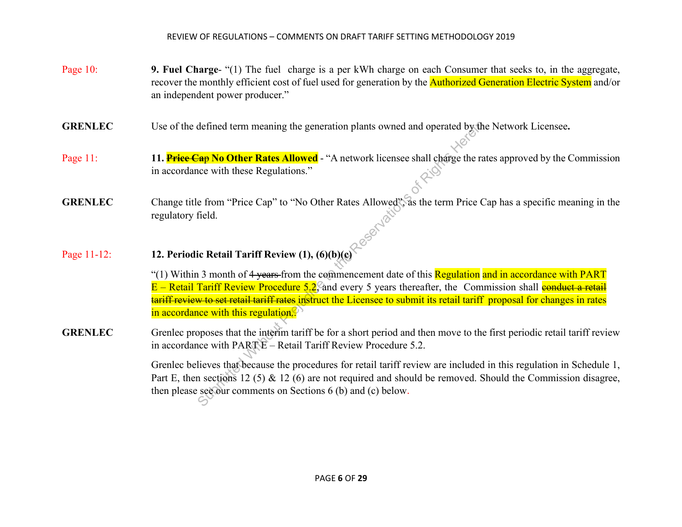- Page 10: **9. Fuel Charge-** "(1) The fuel charge is a per kWh charge on each Consumer that seeks to, in the aggregate, recover the monthly efficient cost of fuel used for generation by the **Authorized Generation Electric System** and/or an independent power producer."
- **GRENLEC** Use of the defined term meaning the generation plants owned and operated by the Network Licensee**.**
- Page 11: **11. Price Cap No Other Rates Allowed** "A network licensee shall charge the rates approved by the Commission in accordance with these Regulations."
- GRENLEC Change title from "Price Cap" to "No Other Rates Allowed", as the term Price Cap has a specific meaning in the regulatory field.
- Page 11-12: **12. Periodic Retail Tariff Review (1), (6)(b)(c)**

"(1) Within 3 month of 4 years from the commencement date of this Regulation and in accordance with PART  $E -$  Retail Tariff Review Procedure 5.2, and every 5 years thereafter, the Commission shall conduct a retail tariff review to set retail tariff rates instruct the Licensee to submit its retail tariff proposal for changes in rates in accordance with this regulation. $\bullet$ defined term meaning the generation plants owned and operated by the  $\frac{20}{4}$ P No Other Rates Allowed - "A network licensee shall charge the race with these Regulations."<br>
e from "Price Cap" to "No Other Rates Allowed",

**GRENLEC** Grenlec proposes that the interim tariff be for a short period and then move to the first periodic retail tariff review in accordance with PART E – Retail Tariff Review Procedure 5.2.

> Grenlec believes that because the procedures for retail tariff review are included in this regulation in Schedule 1, Part E, then sections 12 (5) & 12 (6) are not required and should be removed. Should the Commission disagree, then please see our comments on Sections 6 (b) and (c) below.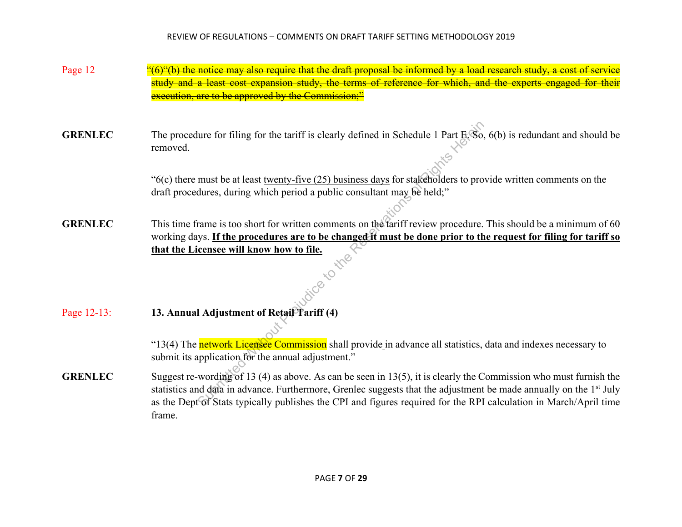- Page 12  $\frac{4}{5}$  (6) the notice may also require that the draft proposal be informed by a load research study, a cost of service and a least cost expansion study, the terms of reference for which, and the experts enga execution, are to be approved by the Commission;"
- **GRENLEC** The procedure for filing for the tariff is clearly defined in Schedule 1 Part E. So, 6(b) is redundant and should be removed. removed.

"6(c) there must be at least twenty-five (25) business days for stakeholders to provide written comments on the draft procedures, during which period a public consultant may be held;"

**GRENLEC** This time frame is too short for written comments on the tariff review procedure. This should be a minimum of 60 working days. **If the procedures are to be changed it must be done prior to the request for filing for tariff so that the Licensee will know how to file.**<br>  $\delta^{(0)}$ Sure for filing for the tariff is clearly defined in Schedule 1 Part B.<br>
So,<br>
must be at least <u>twenty-five (25) business days</u> for stakeholders to pro<br>
dures, during which period a public consultant may be held;"<br>
Frame i

Page 12-13: **13. Annual Adjustment of Retail Tariff (4)**

"13(4) The **network Licensee Commission** shall provide in advance all statistics, data and indexes necessary to submit its application for the annual adjustment."

**GRENLEC** Suggest re-wording of 13 (4) as above. As can be seen in 13(5), it is clearly the Commission who must furnish the statistics and data in advance. Furthermore, Grenlec suggests that the adjustment be made annually on the 1<sup>st</sup> July as the Dept of Stats typically publishes the CPI and figures required for the RPI calculation in March/April time frame.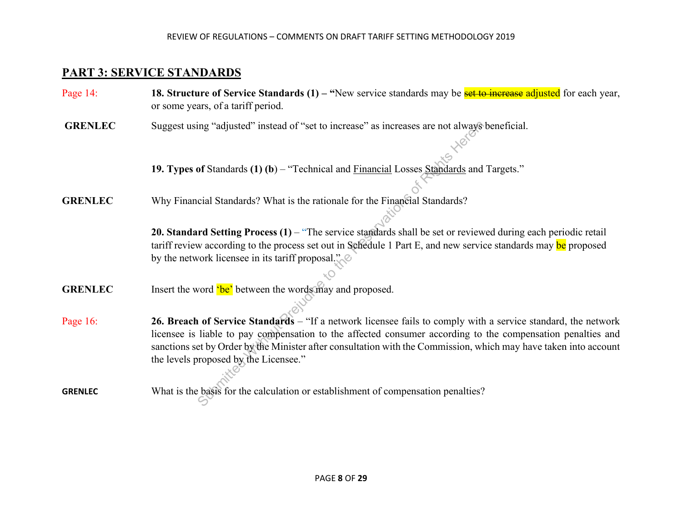## **PART 3: SERVICE STANDARDS**

- Page 14: **18. Structure of Service Standards (1)** "New service standards may be **set to increase adjusted** for each year, or some years, of a tariff period.
- **GRENLEC** Suggest using "adjusted" instead of "set to increase" as increases are not always beneficial.

 **19. Types of** Standards **(1) (b**) – "Technical and Financial Losses Standards and Targets."

**GRENLEC** Why Financial Standards? What is the rationale for the Financial Standards?

**20. Standard Setting Process (1)** – "The service standards shall be set or reviewed during each periodic retail tariff review according to the process set out in Schedule 1 Part E, and new service standards may be proposed by the network licensee in its tariff proposal."

- **GRENLEC** Insert the word 'be' between the words may and proposed.
- Page 16: **26. Breach of Service Standards** "If a network licensee fails to comply with a service standard, the network licensee is liable to pay compensation to the affected consumer according to the compensation penalties and sanctions set by Order by the Minister after consultation with the Commission, which may have taken into account the levels proposed by the Licensee." ing "adjusted" instead of "set to increase" as increases are not always<br>
of Standards (1) (b) – "Technical and <u>Financial</u> Losses Standards and<br>
ccial Standards? What is the rationale for the Financial Standards?<br>
and cci
- **GRENLEC** What is the basis for the calculation or establishment of compensation penalties?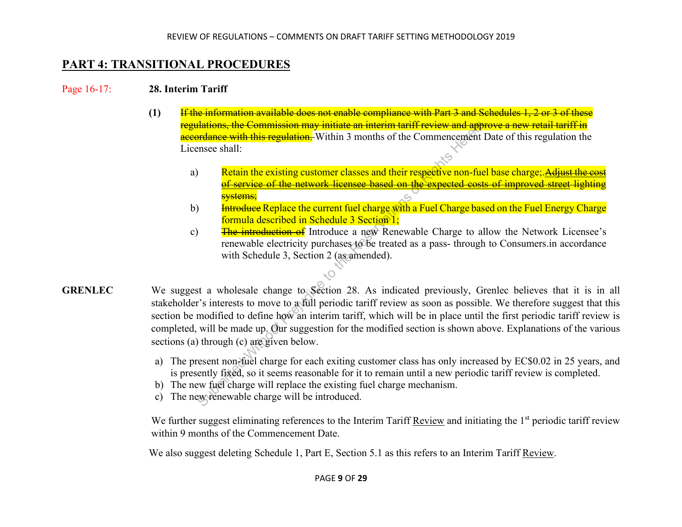## **PART 4: TRANSITIONAL PROCEDURES**

#### Page 16-17: **28. Interim Tariff**

- **(1)** If the information available does not enable compliance with Part 3 and Schedules 1, 2 or 3 of these lations, the Commission may initiate an interim tariff review and approve a new retail tariff in accordance with this regulation. Within 3 months of the Commencement Date of this regulation the Licensee shall:
	- a) Retain the existing customer classes and their respective non-fuel base charge; Adjust the cost of service of the network licensee based on the expected costs of improved street light <mark>systems;</mark>
	- b) <del>Introduce</del> Replace the current fuel charge with a Fuel Charge based on the Fuel Energy Charge formula described in Schedule 3 Section 1;
	- c) The introduction of Introduce a new Renewable Charge to allow the Network Licensee's renewable electricity purchases to be treated as a pass- through to Consumers.in accordance with Schedule 3, Section 2 (as amended).
- **GRENLEC** We suggest a wholesale change to Section 28. As indicated previously, Grenlec believes that it is in all stakeholder's interests to move to a full periodic tariff review as soon as possible. We therefore suggest that this section be modified to define how an interim tariff, which will be in place until the first periodic tariff review is completed, will be made up. Our suggestion for the modified section is shown above. Explanations of the various sections (a) through (c) are given below. **Submistant**<br> **Submistion Transformal internal internal term and approximate with this regulation.** Within 3 months of the Commencement<br>
the Control of the existing customer classes and their respective non-fuce<br>
of servi
	- a) The present non-fuel charge for each exiting customer class has only increased by EC\$0.02 in 25 years, and is presently fixed, so it seems reasonable for it to remain until a new periodic tariff review is completed.
	- b) The new fuel charge will replace the existing fuel charge mechanism.
	- c) The new renewable charge will be introduced.

We further suggest eliminating references to the Interim Tariff Review and initiating the 1<sup>st</sup> periodic tariff review within 9 months of the Commencement Date.

We also suggest deleting Schedule 1, Part E, Section 5.1 as this refers to an Interim Tariff Review.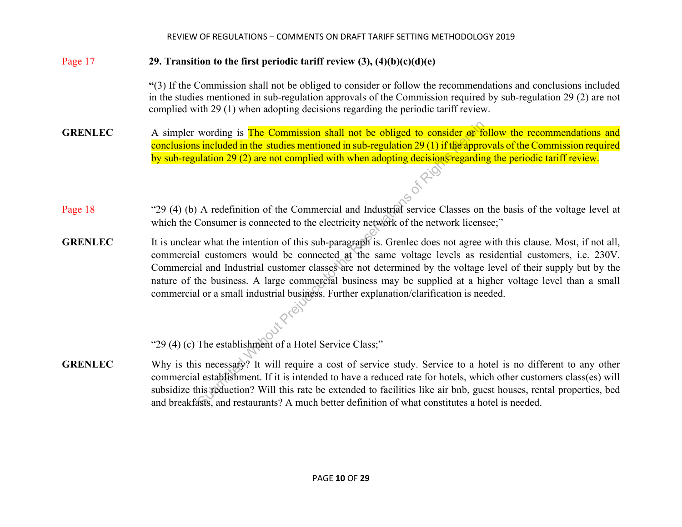### Page 17 **29. Transition to the first periodic tariff review (3), (4)(b)(c)(d)(e)**

**"**(3) If the Commission shall not be obliged to consider or follow the recommendations and conclusions included in the studies mentioned in sub-regulation approvals of the Commission required by sub-regulation 29 (2) are not complied with 29 (1) when adopting decisions regarding the periodic tariff review.

- **GRENLEC** A simpler wording is **The Commission shall not be obliged to consider or follow the recommendations and** conclusions included in the studies mentioned in sub-regulation 29 (1) if the approvals of the Commission required by sub-regulation 29 (2) are not complied with when adopting decisions regarding the periodic tariff review.<br>  $\hat{\phi}$
- Page 18"29 (4) (b) A redefinition of the Commercial and Industrial service Classes on the basis of the voltage level at which the Consumer is connected to the electricity network of the network licensee;"
- **GRENLEC** It is unclear what the intention of this sub-paragraph is. Grenlec does not agree with this clause. Most, if not all, commercial customers would be connected at the same voltage levels as residential customers, i.e. 230V. Commercial and Industrial customer classes are not determined by the voltage level of their supply but by the nature of the business. A large commercial business may be supplied at a higher voltage level than a small commercial or a small industrial business. Further explanation/clarification is needed. The Commission shall not be obliged to consider of the studies mentioned in sub-regulation 29 (1) if the approximate 2) are not complied with when adopting decisions regarding 2) are not commercial and Industrial service C
	- "29 (4) (c) The establishment of a Hotel Service Class;"
- **GRENLEC** Why is this necessary? It will require a cost of service study. Service to a hotel is no different to any other commercial establishment. If it is intended to have a reduced rate for hotels, which other customers class(es) will subsidize this reduction? Will this rate be extended to facilities like air bnb, guest houses, rental properties, bed and breakfasts , and restaurants? A much better definition of what constitutes a hotel is needed. s necessary?<br>I establishme<br>his reduction<br>asts, and resta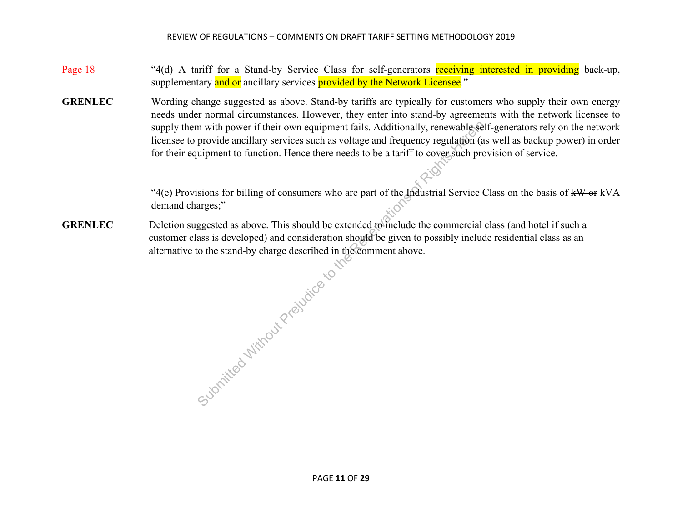### Page 18 "4(d) A tariff for a Stand-by Service Class for self-generators receiving interested in providing back-up, supplementary **and or** ancillary services **provided by the Network Licensee**."

**GRENLEC** Wording change suggested as above. Stand-by tariffs are typically for customers who supply their own energy needs under normal circumstances. However, they enter into stand-by agreements with the network licensee to supply them with power if their own equipment fails. Additionally, renewable self-generators rely on the network licensee to provide ancillary services such as voltage and frequency regulation (as well as backup power) in order for their equipment to function. Hence there needs to be a tariff to cover such provision of service.

> "4(e) Provisions for billing of consumers who are part of the Industrial Service Class on the basis of kW or kVA demand charges;"

**GRENLEC** Deletion suggested as above. This should be extended to include the commercial class (and hotel if such a customer class is developed) and consideration should be given to possibly include residential class as an alternative to the stand-by charge described in the comment above.

eral. cribed in the ribed in the ribed in the Reservations of Reservations of Reservations of Reservations of Reservations of Reservations of Reservations of Reservations (Sections Applications of Reservations of Reservati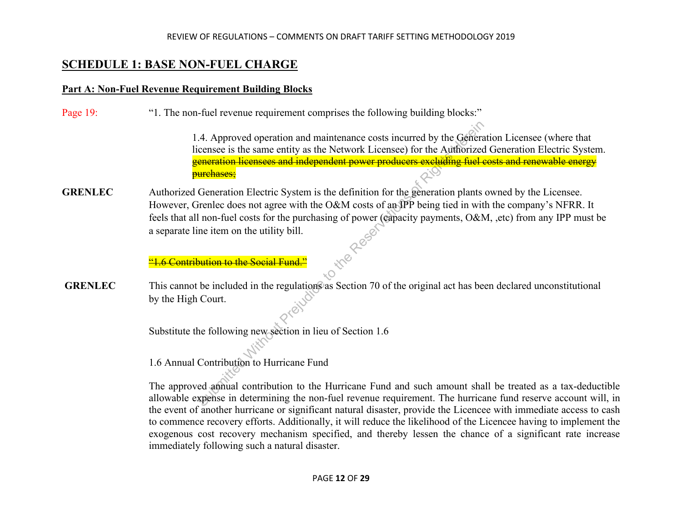## **SCHEDULE 1: BASE NON-FUEL CHARGE**

### **Part A: Non-Fuel Revenue Requirement Building Blocks**

Page 19: "1. The non-fuel revenue requirement comprises the following building blocks:"

 1.4. Approved operation and maintenance costs incurred by the Generation Licensee (where that licensee is the same entity as the Network Licensee) for the Authorized Generation Electric System. generation licensees and independent power producers excluding fuel costs and renewable energy <del>purchases;</del>

**GRENLEC** Authorized Generation Electric System is the definition for the generation plants owned by the Licensee. However, Grenlec does not agree with the O&M costs of an IPP being tied in with the company's NFRR. It feels that all non-fuel costs for the purchasing of power (capacity payments, O&M, ,etc) from any IPP must be a separate line item on the utility bill.<br>
<sup>41</sup> 6 Contribution to the Social Fund.<sup>2</sup><br>
<sup>41</sup> 6 Contribution to th a separate line item on the utility bill. Submitted operation and maintenance costs incurred by the Generation-<br>
Submitted Without Content of the Authorized<br> **Exerces in the Authorized Submitted Without Prefugees:**<br> **Submitted Without Prefugees:**<br> **Submitted Const** 

"1.6 Contribution to the Social Fund."

**GRENLEC** This cannot be included in the regulations as Section 70 of the original act has been declared unconstitutional by the High Court.

Substitute the following new section in lieu of Section 1.6

1.6 Annual Contribution to Hurricane Fund

The approved annual contribution to the Hurricane Fund and such amount shall be treated as a tax-deductible allowable expense in determining the non-fuel revenue requirement. The hurricane fund reserve account will, in the event of another hurricane or significant natural disaster, provide the Licencee with immediate access to cash to commence recovery efforts. Additionally, it will reduce the likelihood of the Licencee having to implement the exogenous cost recovery mechanism specified, and thereby lessen the chance of a significant rate increase immediately following such a natural disaster.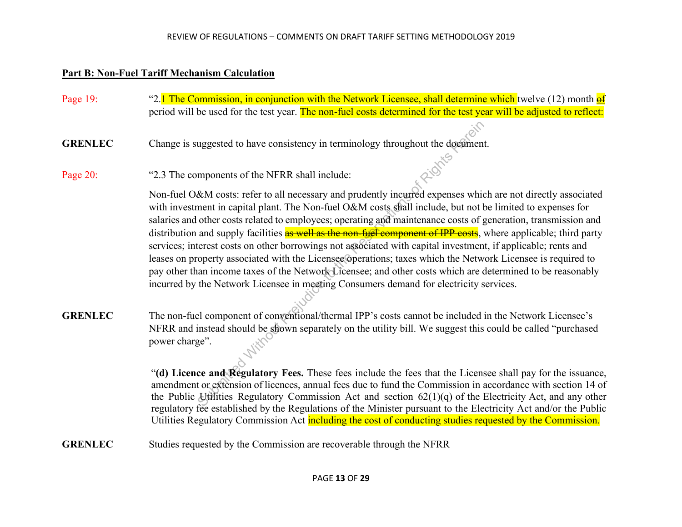### **Part B: Non-Fuel Tariff Mechanism Calculation**

Page 19: "<sup>2.1</sup> The Commission, in conjunction with the Network Licensee, shall determine which twelve (12) month  $\frac{d}{dt}$ period will be used for the test year. The non-fuel costs determined for the test year will be adjusted to reflect:

**GRENLEC** Change is suggested to have consistency in terminology throughout the document.<br>Page 20: "2.3 The components of the NFRR shall include:

Page 20: "2.3 The components of the NFRR shall include:

Non-fuel O&M costs: refer to all necessary and prudently incurred expenses which are not directly associated with investment in capital plant. The Non-fuel O&M costs shall include, but not be limited to expenses for salaries and other costs related to employees; operating and maintenance costs of generation, transmission and distribution and supply facilities as well as the non-fuel component of IPP costs, where applicable; third party services; interest costs on other borrowings not associated with capital investment, if applicable; rents and leases on property associated with the Licensee operations; taxes which the Network Licensee is required to pay other than income taxes of the Network Licensee; and other costs which are determined to be reasonably incurred by the Network Licensee in meeting Consumers demand for electricity services. uggested to have consistency in terminology throughout the document<br>mponents of the NFRR shall include:<br>
EM costs: refer to all necessary and prudently incurred expenses which<br>
ment in capital plant. The Non-fuel O&M cost

**GRENLEC** The non-fuel component of conventional/thermal IPP's costs cannot be included in the Network Licensee's NFRR and instead should be shown separately on the utility bill. We suggest this could be called "purchased power charge".

> "**(d) Licence and Regulatory Fees.** These fees include the fees that the Licensee shall pay for the issuance, amendment or extension of licences, annual fees due to fund the Commission in accordance with section 14 of the Public Utilities Regulatory Commission Act and section 62(1)(q) of the Electricity Act, and any other regulatory fee established by the Regulations of the Minister pursuant to the Electricity Act and/or the Public Utilities Regulatory Commission Act including the cost of conducting studies requested by the Commission.

**GRENLEC** Studies requested by the Commission are recoverable through the NFRR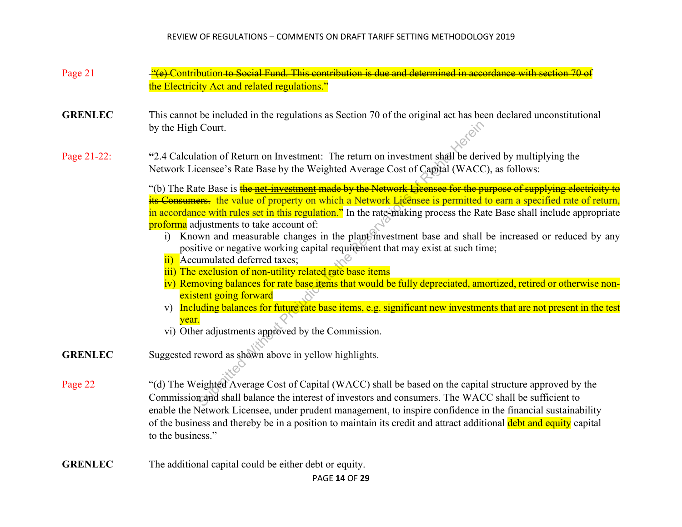- Page 21 "(e) Contribution to Social Fund. This contribution is due and determined in accordance with section 70 of the Electricity Act and related regulations."
- **GRENLEC** This cannot be included in the regulations as Section 70 of the original act has been declared unconstitutional by the High Court.

Page 21-22: **"**2.4 Calculation of Return on Investment: The return on investment shall be derived by multiplying the Network Licensee's Rate Base by the Weighted Average Cost of Capital (WACC), as follows:

"(b) The Rate Base is the net-investment made by the Network Licensee for the purpose of supplying electricity to its Consumers. the value of property on which a Network Licensee is permitted to earn a specified rate of return, in accordance with rules set in this regulation." In the rate-making process the Rate Base shall include appropriate proforma adjustments to take account of: Court.<br>
ation of Return on Investment: The return on investment shall be dericensee's Rate Base by the Weighted Average Cost of Capital (WACC<br>
the Base is the net investment made by the Network Licensee for the p<br>
ers. the

- i) Known and measurable changes in the plant investment base and shall be increased or reduced by any positive or negative working capital requirement that may exist at such time;
- ii) Accumulated deferred taxes;
- iii) The exclusion of non-utility related rate base items
- iv) Removing balances for rate base items that would be fully depreciated, amortized, retired or otherwise nonexistent going forward
- v) Including balances for future rate base items, e.g. significant new investments that are not present in the test year.
- vi) Other adjustments approved by the Commission.
- **GRENLEC** Suggested reword as shown above in yellow highlights.
- Page 22 "(d) The Weighted Average Cost of Capital (WACC) shall be based on the capital structure approved by the Commission and shall balance the interest of investors and consumers. The WACC shall be sufficient to enable the Network Licensee, under prudent management, to inspire confidence in the financial sustainability of the business and thereby be in a position to maintain its credit and attract additional debt and equity capital to the business."
- **GRENLEC** The additional capital could be either debt or equity.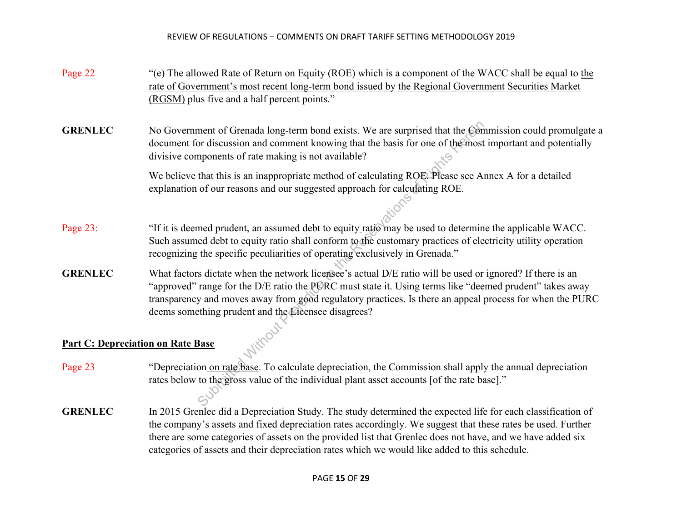Page 22 "(e) The allowed Rate of Return on Equity (ROE) which is a component of the WACC shall be equal to the rate of Government's most recent long-term bond issued by the Regional Government Securities Market (RGSM) plus five and a half percent points."

**GRENLEC** No Government of Grenada long-term bond exists. We are surprised that the Commission could promulgate a document for discussion and comment knowing that the basis for one of the most important and potentially divisive components of rate making is not available?

> We believe that this is an inappropriate method of calculating ROE. Please see Annex A for a detailed explanation of our reasons and our suggested approach for calculating ROE.

- Page 23: "If it is deemed prudent, an assumed debt to equity ratio may be used to determine the applicable WACC. Such assumed debt to equity ratio shall conform to the customary practices of electricity utility operation recognizing the specific peculiarities of operating exclusively in Grenada."
- **GRENLEC** What factors dictate when the network licensee's actual D/E ratio will be used or ignored? If there is an "approved" range for the D/E ratio the PURC must state it. Using terms like "deemed prudent" takes away transparency and moves away from good regulatory practices. Is there an appeal process for when the PURC deems something prudent and the Licensee disagrees? ment of Grenada long-term bond exists. We are surprised that the Condition of discussion and comment knowing that the basis for one of the most<br>pronents of rate making is not available?<br>that this is an inappropriate metho

## **Part C: Depreciation on Rate Base**

- Page 23 "Depreciation on rate base. To calculate depreciation, the Commission shall apply the annual depreciation rates below to the gross value of the individual plant asset accounts [of the rate base]."
- **GRENLEC** In 2015 Grenlec did a Depreciation Study. The study determined the expected life for each classification of the company's assets and fixed depreciation rates accordingly. We suggest that these rates be used. Further there are some categories of assets on the provided list that Grenlec does not have, and we have added six categories of assets and their depreciation rates which we would like added to this schedule.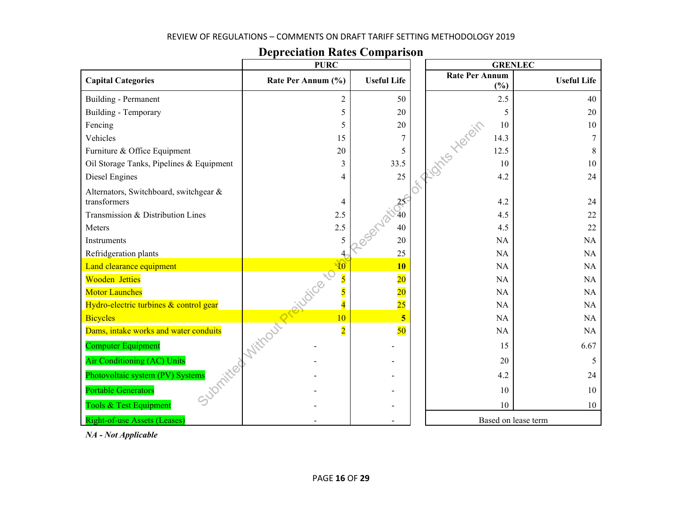| <b>Depreciation Rates Comparison</b> |  |  |  |  |  |
|--------------------------------------|--|--|--|--|--|
|                                      |  |  |  |  |  |

|                                                        | <b>PURC</b>        |                    | <b>GRENLEC</b>               |                    |
|--------------------------------------------------------|--------------------|--------------------|------------------------------|--------------------|
| <b>Capital Categories</b>                              | Rate Per Annum (%) | <b>Useful Life</b> | <b>Rate Per Annum</b><br>(%) | <b>Useful Life</b> |
| Building - Permanent                                   | 2                  | 50                 | 2.5                          | 40                 |
| Building - Temporary                                   | 5                  | 20                 | 5                            | 20                 |
| Fencing                                                | 5                  | 20                 | 10<br>I Ints Herein          | 10                 |
| Vehicles                                               | 15                 | 7                  | 14.3                         |                    |
| Furniture & Office Equipment                           | 20                 | 5                  | 12.5                         | 8                  |
| Oil Storage Tanks, Pipelines & Equipment               | 3                  | 33.5               | 10                           | 10                 |
| Diesel Engines                                         | 4                  | 25                 | 4.2                          | 24                 |
| Alternators, Switchboard, switchgear &<br>transformers | 4                  | $25^{\circ}$       | 4.2                          | 24                 |
| Transmission & Distribution Lines                      | 2.5                |                    | 4.5                          | 22                 |
| Meters                                                 | 2.5                | 40                 | 4.5                          | 22                 |
| Instruments                                            | 5                  | 20                 | NA                           | <b>NA</b>          |
| Refridgeration plants                                  | 4                  | 25                 | <b>NA</b>                    | NA                 |
| Land clearance equipment                               | 10                 | <b>10</b>          | NA                           | NA                 |
| <b>Wooden Jetties</b>                                  | sivote to          | $\overline{20}$    | NA                           | NA                 |
| <b>Motor Launches</b>                                  |                    | $\overline{20}$    | NA                           | NA                 |
| Hydro-electric turbines & control gear                 | $\overline{4}$     | $\overline{25}$    | NA                           | NA                 |
| <b>Bicycles</b>                                        | 10                 | 5                  | NA                           | NA                 |
| Dams, intake works and water conduits                  | $\overline{2}$     | 50                 | NA                           | NA                 |
| <b>Computer Equipment</b>                              | I Vithout Pre      |                    | 15                           | 6.67               |
| Air Conditioning (AC) Units                            |                    |                    | 20                           | 5                  |
| Photovoltaic system (PV) Systems                       |                    |                    | 4.2                          | 24                 |
| <b>Portable Generators</b>                             |                    |                    | 10                           | 10                 |
| Tools & Test Equipment                                 |                    |                    | 10                           | 10                 |
| <b>Right-of-use Assets (Leases)</b>                    |                    |                    | Based on lease term          |                    |

*NA - Not Applicable*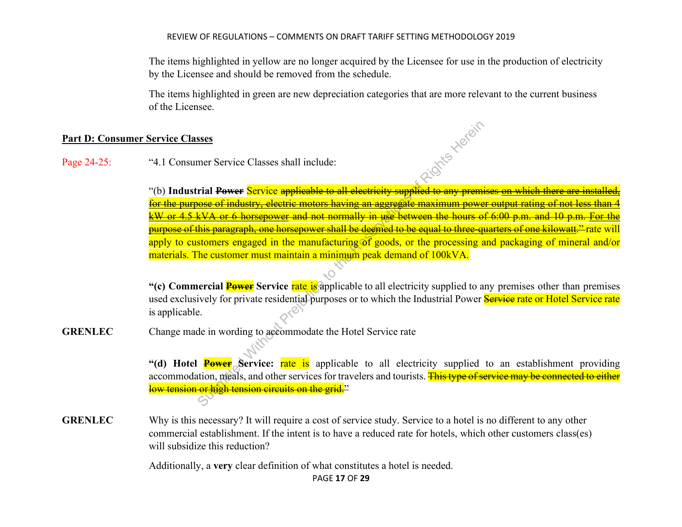The items highlighted in yellow are no longer acquired by the Licensee for use in the production of electricity by the Licensee and should be removed from the schedule.

 The items highlighted in green are new depreciation categories that are more relevant to the current business of the Licensee.

#### **Part D: Consumer Service Classes**

Page 24-25: "4.1 Consumer Service Classes shall include:

"(b) **Industrial Power** Service applicable to all electricity supplied to any premises on which there are installed, for the purpose of industry, electric motors having an aggregate maximum power output rating of not less than 4 kW or 4.5 kVA or 6 horsepower and not normally in use between the hours of 6:00 p.m. and 10 p.m. For the purpose of this paragraph, one horsepower shall be deemed to be equal to three-quarters of one kilowatt." rate will apply to customers engaged in the manufacturing of goods, or the processing and packaging of mineral and/or materials. The customer must maintain a minimum peak demand of 100kVA. SUBMORT SET THE SUBMARY CONDUCTED THE SUBMARY CONTROLL AND THE SUBMARY CONTROLL AND SUSPENDICED THE SUBMARY CONTROLL AND THE SUBMARY CONTROLL AND THE PREFUDICED AND THE SUBMARY CONTROLL AND THE SUBMARY CONTROLL AND THE SU

"(c) Commercial **Power** Service rate is applicable to all electricity supplied to any premises other than premises used exclusively for private residential purposes or to which the Industrial Power Service rate or Hotel Service rate is applicable.

**GRENLEC** Change made in wording to accommodate the Hotel Service rate

"(d) Hotel **Power** Service: rate is applicable to all electricity supplied to an establishment providing accommodation, meals, and other services for travelers and tourists. This type of service may be connected to either low tension or high tension circuits on the grid."

**GRENLEC** Why is this necessary? It will require a cost of service study. Service to a hotel is no different to any other commercial establishment. If the intent is to have a reduced rate for hotels, which other customers class(es) will subsidize this reduction?

Additionally, a **very** clear definition of what constitutes a hotel is needed.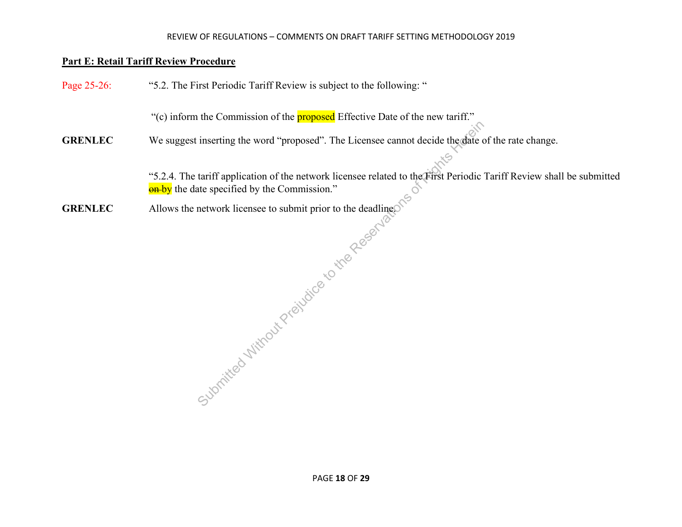#### **Part E: Retail Tariff Review Procedure**

Page 25-26: "5.2. The First Periodic Tariff Review is subject to the following:

"(c) inform the Commission of the **proposed** Effective Date of the new tariff."

**GRENLEC** We suggest inserting the word "proposed". The Licensee cannot decide the date of the rate change.

"5.2.4. The tariff application of the network licensee related to the First Periodic Tariff Review shall be submitted **on**-by the date specified by the Commission." ensee related to the First P.

**GRENLEC** Allows the network licensee to submit prior to the deadline.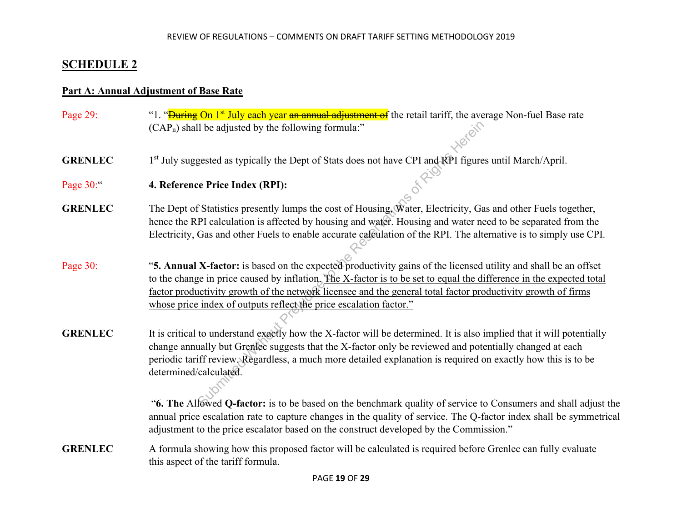## **SCHEDULE 2**

#### **Part A: Annual Adjustment of Base Rate**

- Page 29: ""1. "<del>During On 1<sup>st</sup> July each year an annual adjustment of</del> the retail tariff, the average Non-fuel Base rate  $(CAP_n)$  shall be adjusted by the following formula:"
- **GRENLEC** 1<sup>st</sup> July suggested as typically the Dept of Stats does not have CPI and RPI figures until March/April.
- Page 30:" **4. Reference Price Index (RPI):**
- **GRENLEC** The Dept of Statistics presently lumps the cost of Housing, Water, Electricity, Gas and other Fuels together, hence the RPI calculation is affected by housing and water. Housing and water need to be separated from the Electricity, Gas and other Fuels to enable accurate calculation of the RPI. The alternative is to simply use CPI.
- Page 30: "**5. Annual X-factor:** is based on the expected productivity gains of the licensed utility and shall be an offset to the change in price caused by inflation. The X-factor is to be set to equal the difference in the expected total factor productivity growth of the network licensee and the general total factor productivity growth of firms whose price index of outputs reflect the price escalation factor."
- **GRENLEC** It is critical to understand exactly how the X-factor will be determined. It is also implied that it will potentially change annually but Grenlec suggests that the X-factor only be reviewed and potentially changed at each periodic tariff review. Regardless, a much more detailed explanation is required on exactly how this is to be determined/calculated. II be adjusted by the following formula:"<br>
gested as typically the Dept of Stats does not have CPI and RPI figure<br>
e Price Index (RPI):<br>
Statistics presently lumps the cost of Housing, Water, Electricity, Ga<br>
PI calculatio

 "**6. The** Allowed **Q-factor:** is to be based on the benchmark quality of service to Consumers and shall adjust the annual price escalation rate to capture changes in the quality of service. The Q-factor index shall be symmetrical adjustment to the price escalator based on the construct developed by the Commission."

**GRENLEC** A formula showing how this proposed factor will be calculated is required before Grenlec can fully evaluate this aspect of the tariff formula.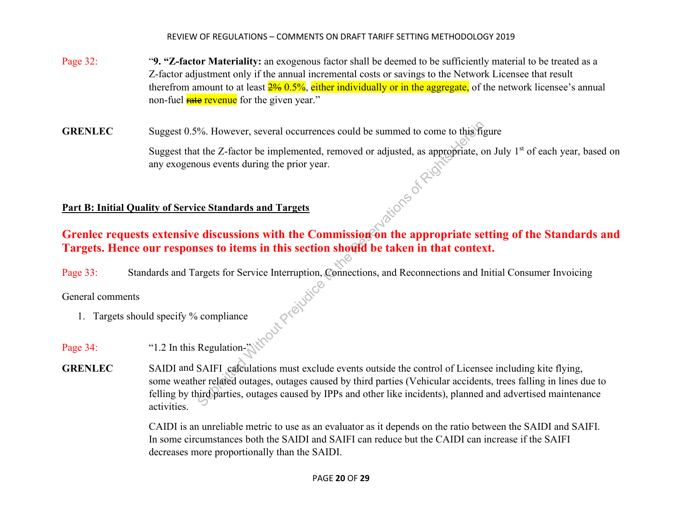- Page 32: "**9. "Z-factor Materiality:** an exogenous factor shall be deemed to be sufficiently material to be treated as a Z-factor adjustment only if the annual incremental costs or savings to the Network Licensee that result therefrom amount to at least  $2\%$  0.5%, either individually or in the aggregate, of the network licensee's annual non-fuel **rate revenue** for the given year."
- **GRENLEC** Suggest 0.5%. However, several occurrences could be summed to come to this figure

Suggest that the Z-factor be implemented, removed or adjusted, as appropriate, on July 1<sup>st</sup> of each year, based on any exogenous events during the prior year.<br>
lity of <u>Service Standards and Targets</u> any exogenous events during the prior year.

## **Part B: Initial Quality of Service Standards and Targets**

# Grenlec requests extensive discussions with the Commission on the appropriate setting of the Standards and **Targets. Hence our responses to items in this section should be taken in that context.**

Page 33: Standards and Targets for Service Interruption, Connections, and Reconnections and Initial Consumer Invoicing<br>General comments<br>1. Targets should specify % compliance<br> $\otimes$ 

## General comments

- 1. Targets should specify % compliance
- Page 34: "1.2 In this Regulation-"
- **GRENLEC** SAIDI and SAIFI calculations must exclude events outside the control of Licensee including kite flying, some weather related outages, outages caused by third parties (Vehicular accidents, trees falling in lines due to felling by third parties, outages caused by IPPs and other like incidents), planned and advertised maintenance activities. %. However, several occurrences could be summed to come to this fight<br>t the Z-factor be implemented, removed or adjusted, as appropriate, cous events during the prior year.<br> **ce Standards and Targets**<br> **ce Standards and Ta**

CAIDI is an unreliable metric to use as an evaluator as it depends on the ratio between the SAIDI and SAIFI. In some circumstances both the SAIDI and SAIFI can reduce but the CAIDI can increase if the SAIFI decreases more proportionally than the SAIDI.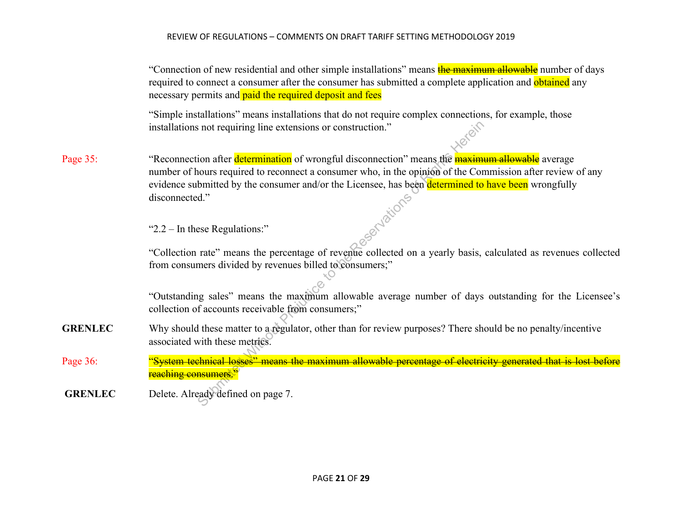"Connection of new residential and other simple installations" means the maximum allowable number of days required to connect a consumer after the consumer has submitted a complete application and obtained any necessary permits and **paid the required deposit and fees** 

 "Simple installations" means installations that do not require complex connections, for example, those installations not requiring line extensions or construction."

Page 35: "Reconnection after determination of wrongful disconnection" means the **maximum allowable** average number of hours required to reconnect a consumer who, in the opinion of the Commission after review of any evidence submitted by the consumer and/or the Licensee, has been determined to have been wrongfully disconnected."<br>
"2.2 – In these Regulations:" disconnected." Submitted Without a construction."<br>
Submitted by the connect a consumer who, in the opinion of the Coromitted by the consumer and/or the Licensee, has been determined to d."<br>
Submitted by the consumer and/or the Licensee,

"2.2 – In these Regulations:"

"Collection rate" means the percentage of revenue collected on a yearly basis, calculated as revenues collected from consumers divided by revenues billed to consumers;"

"Outstanding sales" means the maximum allowable average number of days outstanding for the Licensee's collection of accounts receivable from consumers;"

**GRENLEC** Why should these matter to a regulator, other than for review purposes? There should be no penalty/incentive associated with these metrics.

Page 36: "System technical losses" means the maximum allowable percentage of electricity generated that is lost before reaching consumers."

**GRENLEC** Delete. Already defined on page 7.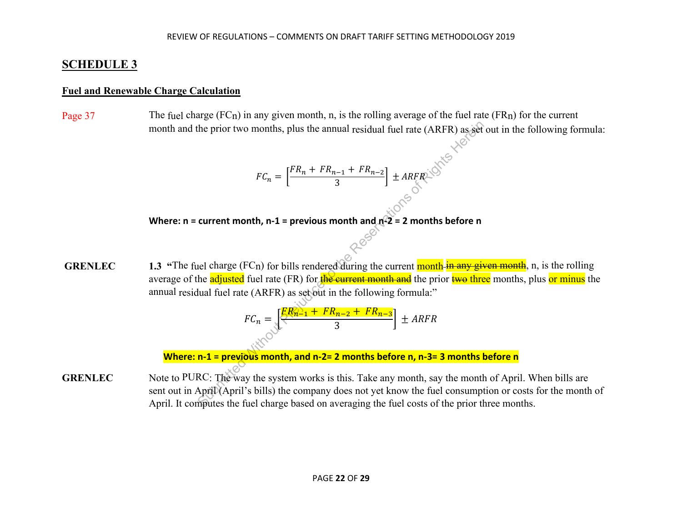# **SCHEDULE 3**

### **Fuel and Renewable Charge Calculation**

Page 37 The fuel charge  $(FCn)$  in any given month, n, is the rolling average of the fuel rate  $(FRn)$  for the current month and the prior two months, plus the annual residual fuel rate (ARFR) as set out in the following formula:

$$
FC_n = \left[\frac{FR_n + FR_{n-1} + FR_{n-2}}{3}\right] \pm ARFR
$$

**Where: n = current month, n-1 = previous month and**  $n^2$  **= 2 months before n**<br> $\sim$ 

**GRENLEC** 1.3 "The fuel charge (FC<sub>n</sub>) for bills rendered during the current month in any given month, n, is the rolling average of the **adjusted** fuel rate (FR) for the current month and the prior two three months, plus or minus the annual residual fuel rate (ARFR) as set out in the following formula:" the prior two months, plus the annual residual fuel rate (ARFR) as set<br>  $FC_n = \left[\frac{FR_n + FR_{n-1} + FR_{n-2}}{3}\right] \pm ARFR$ .<br>
current month, n-1 = previous month and  $n^22 = 2$  months before n<br>
all charge (FCn) for bills rendered during t

$$
FC_n = \underbrace{\left[\frac{FR_{n-1} + FR_{n-2} + FR_{n-3}}{3}\right]}_{\text{3}} \pm ARFR
$$

**Where: n-1 = previous month, and n-2= 2 months before n, n-3= 3 months before n**

**GRENLEC** Note to PURC: The way the system works is this. Take any month, say the month of April. When bills are sent out in April (April's bills) the company does not yet know the fuel consumption or costs for the month of April. It computes the fuel charge based on averaging the fuel costs of the prior three months.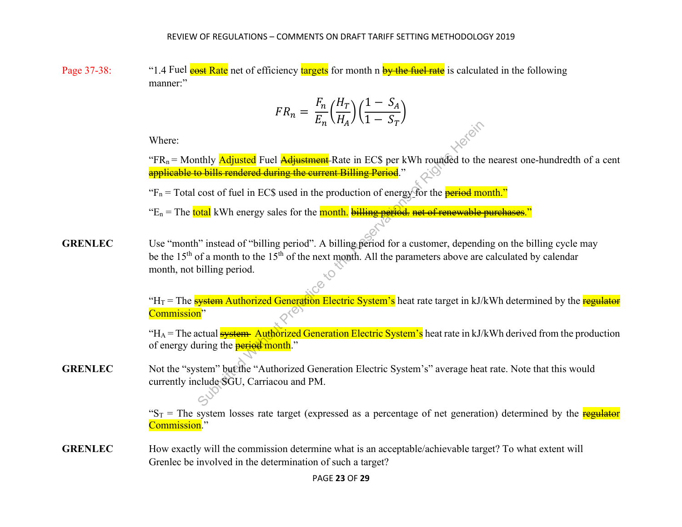Page 37-38: "1.4 Fuel cost Rate net of efficiency targets for month n by the fuel rate is calculated in the following manner:"

$$
FR_n = \frac{F_n}{E_n} \left(\frac{H_T}{H_A}\right) \left(\frac{1 - S_A}{1 - S_T}\right)
$$

Where:

"FR<sub>n</sub> = Monthly *Adjusted* Fuel *Adjustment* Rate in EC\$ per kWh rounded to the nearest one-hundredth of a cent applicable to bills rendered during the current Billing Period."

" $F_n$  = Total cost of fuel in EC\$ used in the production of energy for the **period month."** 

" $E_n$  = The total kWh energy sales for the month. billing period, net of renewable purchases."

**GRENLEC** Use "month" instead of "billing period". A billing period for a customer, depending on the billing cycle may be the 15<sup>th</sup> of a month to the 15<sup>th</sup> of the next month. All the parameters above are calculated by calendar month, not billing period. Submitted Fuel Adjustment-Rate in ECS per kWh rounded to the **bills rendered during the current Billing Period**.<br>
Cost of fuel in ECS used in the production of energy for the **period motal** kWh energy sales for the **month** 

"H<sub>T</sub> = The **system Authorized Generation Electric System's** heat rate target in kJ/kWh determined by the **regulator** Commission"

"H<sub>A</sub> = The actual **system** Authorized Generation Electric System's heat rate in kJ/kWh derived from the production of energy during the **period month.**"

**GRENLEC** Not the "system" but the "Authorized Generation Electric System's" average heat rate. Note that this would currently include SGU, Carriacou and PM.

> " $S_T$  = The system losses rate target (expressed as a percentage of net generation) determined by the **regulator** Commission."

**GRENLEC** How exactly will the commission determine what is an acceptable/achievable target? To what extent will Grenlec be involved in the determination of such a target?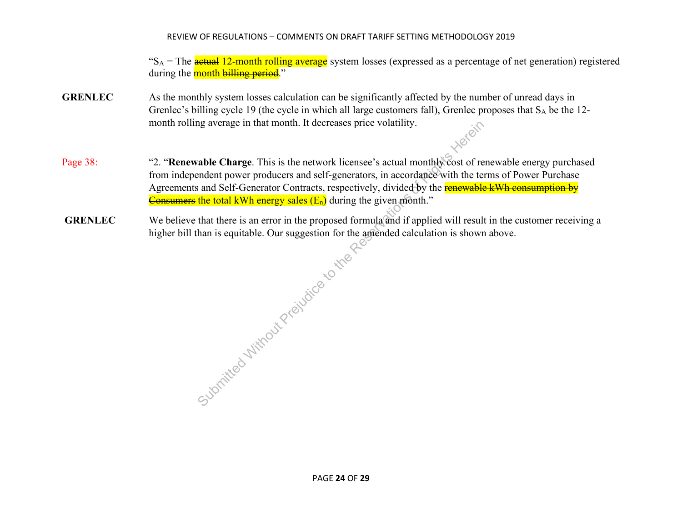" $S_A$  = The **actual 12-month rolling average** system losses (expressed as a percentage of net generation) registered during the month billing period."

- **GRENLEC** As the monthly system losses calculation can be significantly affected by the number of unread days in Grenlec's billing cycle 19 (the cycle in which all large customers fall), Grenlec proposes that  $S_A$  be the 12month rolling average in that month. It decreases price volatility.
- Page 38: "2. "**Renewable Charge**. This is the network licensee's actual monthly cost of renewable energy purchased from independent power producers and self-generators, in accordance with the terms of Power Purchase Agreements and Self-Generator Contracts, respectively, divided by the renewable kWh consumption by Consumers the total kWh energy sales  $(E_n)$  during the given month."
- **GRENLEC** We believe that there is an error in the proposed formula and if applied will result in the customer receiving a higher bill than is equitable. Our suggestion for the amended calculation is shown above.

The Reservation of the Reservation of the Reservation of the Reservation of the Reservation of the Reservation of the Reservation of the Reservation of the Reservation of the Reservation of the Reservation of the Reservat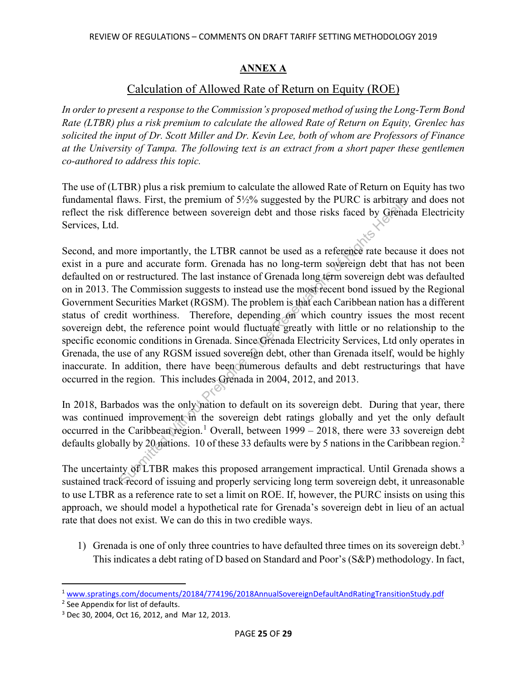## **ANNEX A**

## Calculation of Allowed Rate of Return on Equity (ROE)

*In order to present a response to the Commission's proposed method of using the Long-Term Bond Rate (LTBR) plus a risk premium to calculate the allowed Rate of Return on Equity, Grenlec has solicited the input of Dr. Scott Miller and Dr. Kevin Lee, both of whom are Professors of Finance at the University of Tampa. The following text is an extract from a short paper these gentlemen co-authored to address this topic.* 

The use of (LTBR) plus a risk premium to calculate the allowed Rate of Return on Equity has two fundamental flaws. First, the premium of 5½% suggested by the PURC is arbitrary and does not reflect the risk difference between sovereign debt and those risks faced by Grenada Electricity Services, Ltd.

Second, and more importantly, the LTBR cannot be used as a reference rate because it does not exist in a pure and accurate form. Grenada has no long-term sovereign debt that has not been defaulted on or restructured. The last instance of Grenada long term sovereign debt was defaulted on in 2013. The Commission suggests to instead use the most recent bond issued by the Regional Government Securities Market (RGSM). The problem is that each Caribbean nation has a different status of credit worthiness. Therefore, depending on which country issues the most recent sovereign debt, the reference point would fluctuate greatly with little or no relationship to the specific economic conditions in Grenada. Since Grenada Electricity Services, Ltd only operates in Grenada, the use of any RGSM issued sovereign debt, other than Grenada itself, would be highly inaccurate. In addition, there have been numerous defaults and debt restructurings that have occurred in the region. This includes Grenada in 2004, 2012, and 2013. The Reservation of 37276 suggested by the POKC is around the Reservation of 37276 suggested by the POKC is and a<br>procedure in the LTBR cannot be used as a reference rate because and accurate form. Grenada has no long-term

In 2018, Barbados was the only nation to default on its sovereign debt. During that year, there was continued improvement in the sovereign debt ratings globally and yet the only default occurred in the Caribbean region.<sup>1</sup> Overall, between  $1999 - 2018$ , there were 33 sovereign debt defaults globally by [2](#page-25-1)0 nations. 10 of these 33 defaults were by 5 nations in the Caribbean region.<sup>2</sup>

The uncertainty of LTBR makes this proposed arrangement impractical. Until Grenada shows a sustained track record of issuing and properly servicing long term sovereign debt, it unreasonable to use LTBR as a reference rate to set a limit on ROE. If, however, the PURC insists on using this approach, we should model a hypothetical rate for Grenada's sovereign debt in lieu of an actual rate that does not exist. We can do this in two credible ways.

1) Grenada is one of only three countries to have defaulted three times on its sovereign debt.<sup>[3](#page-25-2)</sup> This indicates a debt rating of D based on Standard and Poor's (S&P) methodology. In fact,

<span id="page-25-0"></span><sup>1</sup> [www.spratings.com/documents/20184/774196/2018AnnualSovereignDefaultAndRatingTransitionStudy.pdf](http://www.spratings.com/documents/20184/774196/2018AnnualSovereignDefaultAndRatingTransitionStudy.pdf)

<span id="page-25-1"></span><sup>2</sup> See Appendix for list of defaults.

<span id="page-25-2"></span><sup>3</sup> Dec 30, 2004, Oct 16, 2012, and Mar 12, 2013.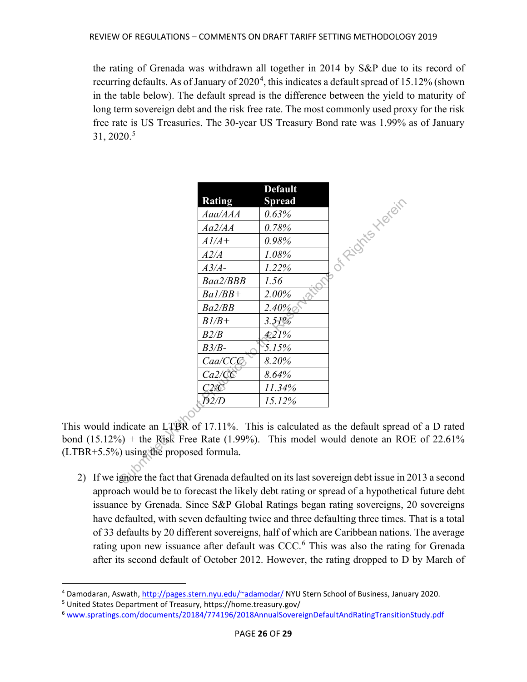the rating of Grenada was withdrawn all together in 2014 by S&P due to its record of recurring defaults. As of January of  $2020^4$  $2020^4$ , this indicates a default spread of 15.12% (shown in the table below). The default spread is the difference between the yield to maturity of long term sovereign debt and the risk free rate. The most commonly used proxy for the risk free rate is US Treasuries. The 30-year US Treasury Bond rate was 1.99% as of January 31, 2020.[5](#page-26-1)

|                               |               | <b>Default</b> |                                                                             |
|-------------------------------|---------------|----------------|-----------------------------------------------------------------------------|
|                               | <b>Rating</b> | <b>Spread</b>  |                                                                             |
|                               | Aaa/AAA       | 0.63%          |                                                                             |
|                               | Aa2/AA        | 0.78%          |                                                                             |
|                               | $A1/A+$       | 0.98%          |                                                                             |
|                               | A2/A          | 1.08%          | J skights Herein                                                            |
|                               | $A3/A-$       | 1.22%          |                                                                             |
|                               | Baa2/BBB      | 1.56           |                                                                             |
|                               | $Ba1/BB+$     | 2.00%          |                                                                             |
|                               | Ba2/BB        | 2.40%          |                                                                             |
|                               | $B1/B+$       | 3.51%          |                                                                             |
|                               | B2/B          | 4.21%          |                                                                             |
|                               | $B3/B-$       | 5.15%          |                                                                             |
|                               | Caa/CCC       | 8.20%          |                                                                             |
|                               | Ca2/CC        | 8.64%          |                                                                             |
|                               | C2/C          | 11.34%         |                                                                             |
|                               | D2/D          | 15.12%         |                                                                             |
|                               |               |                |                                                                             |
|                               |               |                | ndicate an LTBR of 17.11%. This is calculated as the default spread         |
|                               |               |                | $h_0$ ) + the Risk Free Rate (1.99%). This model would denote an RO         |
| ) using the proposed formula. |               |                |                                                                             |
|                               |               |                |                                                                             |
|                               |               |                | gnore the fact that Grenada defaulted on its last sovereign debt issue in 2 |

This would indicate an LTBR of 17.11%. This is calculated as the default spread of a D rated bond  $(15.12\%)$  + the Risk Free Rate  $(1.99\%)$ . This model would denote an ROE of 22.61% (LTBR+5.5%) using the proposed formula.

2) If we ignore the fact that Grenada defaulted on its last sovereign debt issue in 2013 a second approach would be to forecast the likely debt rating or spread of a hypothetical future debt issuance by Grenada. Since S&P Global Ratings began rating sovereigns, 20 sovereigns have defaulted, with seven defaulting twice and three defaulting three times. That is a total of 33 defaults by 20 different sovereigns, half of which are Caribbean nations. The average rating upon new issuance after default was CCC.<sup>[6](#page-26-2)</sup> This was also the rating for Grenada after its second default of October 2012. However, the rating dropped to D by March of

<span id="page-26-0"></span><sup>4</sup> Damodaran, Aswath, [http://pages.stern.nyu.edu/~adamodar/](http://pages.stern.nyu.edu/%7Eadamodar/) NYU Stern School of Business, January 2020.

<span id="page-26-1"></span><sup>5</sup> United States Department of Treasury, https://home.treasury.gov/

<span id="page-26-2"></span><sup>6</sup> [www.spratings.com/documents/20184/774196/2018AnnualSovereignDefaultAndRatingTransitionStudy.pdf](http://www.spratings.com/documents/20184/774196/2018AnnualSovereignDefaultAndRatingTransitionStudy.pdf)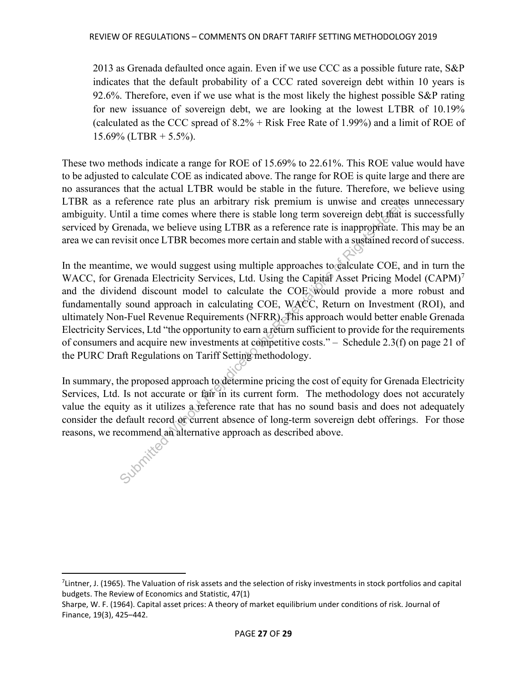2013 as Grenada defaulted once again. Even if we use CCC as a possible future rate,  $S\&P$ indicates that the default probability of a CCC rated sovereign debt within 10 years is 92.6%. Therefore, even if we use what is the most likely the highest possible S&P rating for new issuance of sovereign debt, we are looking at the lowest LTBR of 10.19% (calculated as the CCC spread of  $8.2\%$  + Risk Free Rate of 1.99%) and a limit of ROE of 15.69% (LTBR  $+$  5.5%).

These two methods indicate a range for ROE of 15.69% to 22.61%. This ROE value would have to be adjusted to calculate COE as indicated above. The range for ROE is quite large and there are no assurances that the actual LTBR would be stable in the future. Therefore, we believe using LTBR as a reference rate plus an arbitrary risk premium is unwise and creates unnecessary ambiguity. Until a time comes where there is stable long term sovereign debt that is successfully serviced by Grenada, we believe using LTBR as a reference rate is inappropriate. This may be an area we can revisit once LTBR becomes more certain and stable with a sustained record of success.

In the meantime, we would suggest using multiple approaches to calculate COE, and in turn the WACC, for Grenada Electricity Services, Ltd. Using the Capital Asset Pricing Model  $(CAPM)^7$  $(CAPM)^7$ and the dividend discount model to calculate the COE would provide a more robust and fundamentally sound approach in calculating COE, WACC, Return on Investment (ROI), and ultimately Non-Fuel Revenue Requirements (NFRR). This approach would better enable Grenada Electricity Services, Ltd "the opportunity to earn a return sufficient to provide for the requirements of consumers and acquire new investments at competitive costs." – Schedule 2.3(f) on page 21 of the PURC Draft Regulations on Tariff Setting methodology. reference rate plus an arbitrary risk premium is unwise and create<br>till a time comes where there is stable long term sovereign debt that<br>it renada, we believe using LTBR as a reference rate is inappropriate. T<br>visit once L

In summary, the proposed approach to determine pricing the cost of equity for Grenada Electricity Services, Ltd. Is not accurate or fair in its current form. The methodology does not accurately value the equity as it utilizes a reference rate that has no sound basis and does not adequately consider the default record or current absence of long-term sovereign debt offerings. For those reasons, we recommend an alternative approach as described above.

<span id="page-27-0"></span><sup>&</sup>lt;sup>7</sup>Lintner, J. (1965). The Valuation of risk assets and the selection of risky investments in stock portfolios and capital budgets. The Review of Economics and Statistic, 47(1)

Sharpe, W. F. (1964). Capital asset prices: A theory of market equilibrium under conditions of risk. Journal of Finance, 19(3), 425–442.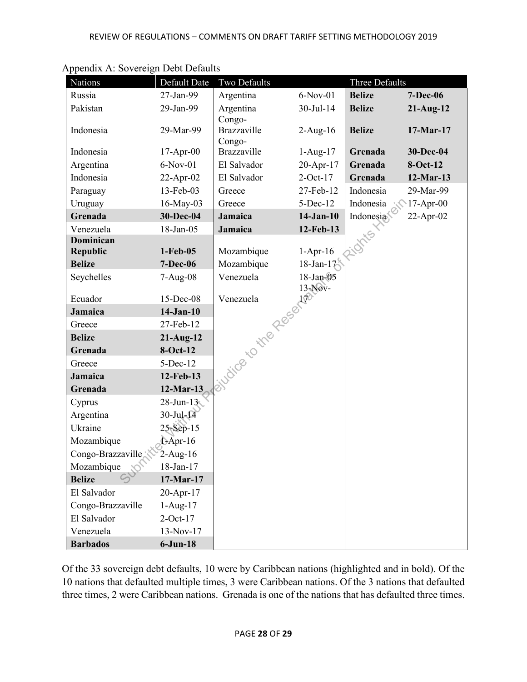| Nations                      | Default Date               | Two Defaults      |             | Three Defaults |                 |
|------------------------------|----------------------------|-------------------|-------------|----------------|-----------------|
| Russia                       | 27-Jan-99                  | Argentina         | $6-Nov-01$  | <b>Belize</b>  | <b>7-Dec-06</b> |
| Pakistan                     | 29-Jan-99                  | Argentina         | 30-Jul-14   | <b>Belize</b>  | $21-Aug-12$     |
|                              |                            | Congo-            |             |                |                 |
| Indonesia                    | 29-Mar-99                  | Brazzaville       | $2-Aug-16$  | <b>Belize</b>  | 17-Mar-17       |
|                              |                            | Congo-            |             |                |                 |
| Indonesia                    | $17-Apr-00$                | Brazzaville       | $1-Aug-17$  | Grenada        | 30-Dec-04       |
| Argentina                    | $6-Nov-01$                 | El Salvador       | 20-Apr-17   | Grenada        | 8-Oct-12        |
| Indonesia                    | 22-Apr-02                  | El Salvador       | $2$ -Oct-17 | Grenada        | $12$ -Mar-13    |
| Paraguay                     | 13-Feb-03                  | Greece            | 27-Feb-12   | Indonesia      | 29-Mar-99       |
| Uruguay                      | 16-May-03                  | Greece            | $5$ -Dec-12 | Indonesia      | $17-Apr-00$     |
| Grenada                      | 30-Dec-04                  | Jamaica           | $14-Jan-10$ | Indonesia      | 22-Apr-02       |
| Venezuela                    | 18-Jan-05                  | Jamaica           | 12-Feb-13   |                |                 |
| Dominican<br><b>Republic</b> | $1-Feb-05$                 | Mozambique        | $1-Apr-16$  |                |                 |
| <b>Belize</b>                | <b>7-Dec-06</b>            | Mozambique        | 18-Jan-17   |                |                 |
| Seychelles                   | $7-Aug-08$                 |                   |             |                |                 |
|                              |                            |                   |             |                |                 |
| Ecuador                      | 15-Dec-08                  | Jan 18-Jan 18-Jan |             |                |                 |
| Jamaica                      | $14-Jan-10$                |                   |             |                |                 |
| Greece                       | 27-Feb-12                  |                   |             |                |                 |
| <b>Belize</b>                | $21-Aug-12$                |                   |             |                |                 |
| Grenada                      | $8-Oct-12$                 |                   |             |                |                 |
| Greece                       | $5-Dec-12$                 |                   |             |                |                 |
| Jamaica                      | 12-Feb-13                  |                   |             |                |                 |
| Grenada                      | $12$ -Mar-13               |                   |             |                |                 |
| Cyprus                       | $28$ -Jun- $13$            |                   |             |                |                 |
| Argentina                    | $30$ -Jul- $\overline{14}$ |                   |             |                |                 |
| Ukraine                      | 25-Sep-15                  |                   |             |                |                 |
| Mozambique                   | LApr-16                    |                   |             |                |                 |
| Congo-Brazzaville            | $2-Aug-16$                 |                   |             |                |                 |
| Mozambique                   | 18-Jan-17                  |                   |             |                |                 |
| <b>Belize</b>                | 17-Mar-17                  |                   |             |                |                 |
| El Salvador                  | 20-Apr-17                  |                   |             |                |                 |
| Congo-Brazzaville            | $1-Aug-17$                 |                   |             |                |                 |
| El Salvador                  | $2$ -Oct-17                |                   |             |                |                 |
| Venezuela                    | 13-Nov-17                  |                   |             |                |                 |
| <b>Barbados</b>              | $6$ -Jun-18                |                   |             |                |                 |

Appendix A: Sovereign Debt Defaults

Of the 33 sovereign debt defaults, 10 were by Caribbean nations (highlighted and in bold). Of the 10 nations that defaulted multiple times, 3 were Caribbean nations. Of the 3 nations that defaulted three times, 2 were Caribbean nations. Grenada is one of the nations that has defaulted three times.